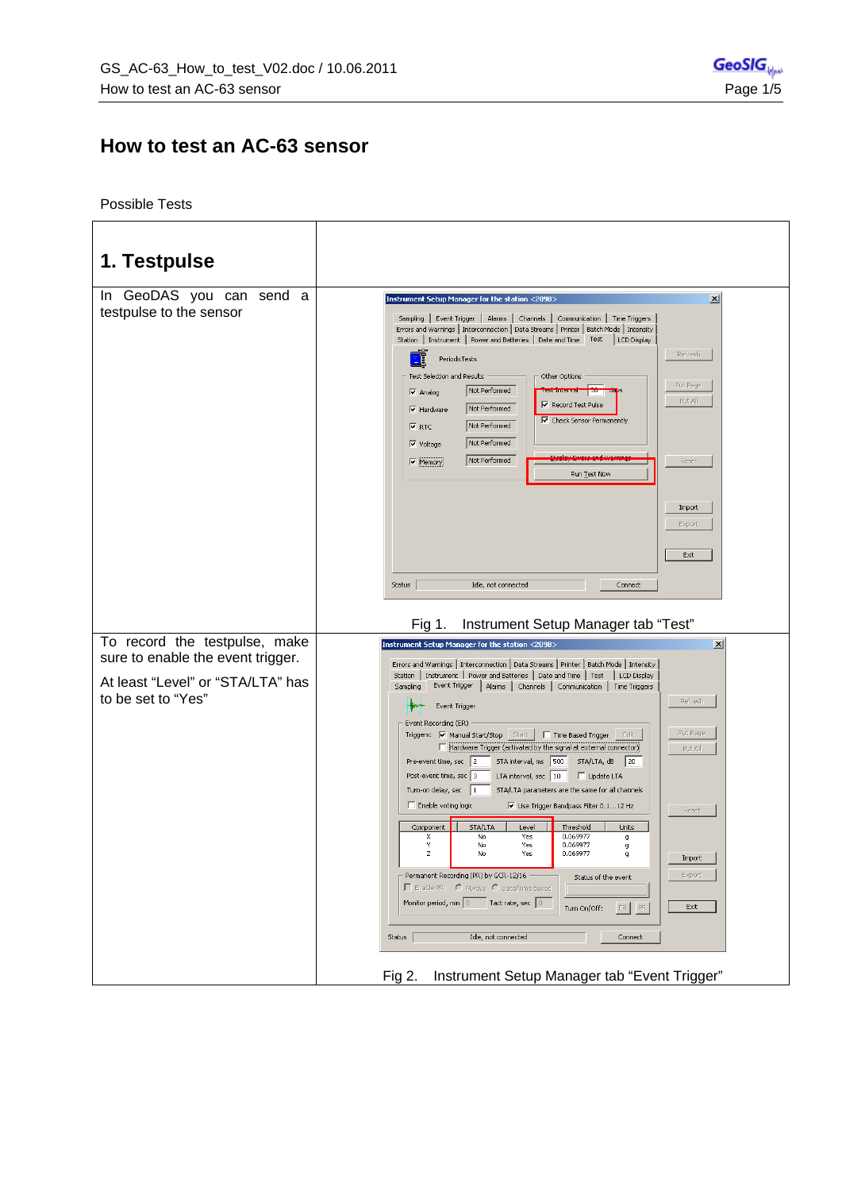## **How to test an AC-63 sensor**

Possible Tests

| 1. Testpulse                                                                                                                  |                                                                                                                                                                                                                                                                                                                                                                                                                                                                                                                                                                                                                                                                                                                                                                                                                                                                                                                                                                                                                                                                                                                                                                                                                                                                                                                                                                            |
|-------------------------------------------------------------------------------------------------------------------------------|----------------------------------------------------------------------------------------------------------------------------------------------------------------------------------------------------------------------------------------------------------------------------------------------------------------------------------------------------------------------------------------------------------------------------------------------------------------------------------------------------------------------------------------------------------------------------------------------------------------------------------------------------------------------------------------------------------------------------------------------------------------------------------------------------------------------------------------------------------------------------------------------------------------------------------------------------------------------------------------------------------------------------------------------------------------------------------------------------------------------------------------------------------------------------------------------------------------------------------------------------------------------------------------------------------------------------------------------------------------------------|
| In GeoDAS you can send a<br>testpulse to the sensor                                                                           | Instrument Setup Manager for the station <2098><br>$\vert x \vert$<br>Sampling   Event Trigger   Alarms   Channels   Communication   Time Triggers<br>Errors and Warnings   Interconnection   Data Streams   Printer   Batch Mode   Intensity<br>Station   Instrument   Power and Batteries   Date and Time   Test<br>  LCD Display<br>Refresh<br>PeriodicTests<br>Test Selection and Results<br>Other Options<br>Put Page<br>Not Performed<br>$\nabla$ Analog<br><b>Les Childerven</b><br>Put All<br>$\overline{\triangledown}$ Record Test Pulse<br>Not Performed<br>$\overline{\mathsf{v}}$ Hardware<br>Check Sensor Permanently<br>Not Performed<br>$\nabla$ RTC<br>Not Performed<br>$\overline{\mathsf{v}}$ Voltage<br>Not Performed<br>Reset<br>$\overline{\mathsf{v}}$ Memory<br>Run Test Now<br>Import<br>Export<br>Exit<br>Status<br>Idle, not connected<br>Connect                                                                                                                                                                                                                                                                                                                                                                                                                                                                                               |
|                                                                                                                               | Instrument Setup Manager tab "Test"<br>Fig 1.                                                                                                                                                                                                                                                                                                                                                                                                                                                                                                                                                                                                                                                                                                                                                                                                                                                                                                                                                                                                                                                                                                                                                                                                                                                                                                                              |
| To record the testpulse, make<br>sure to enable the event trigger.<br>At least "Level" or "STA/LTA" has<br>to be set to "Yes" | Instrument Setup Manager for the station <2098><br>$\vert x \vert$<br>Errors and Warnings   Interconnection   Data Streams   Printer   Batch Mode   Intensity<br>Station   Instrument   Power and Batteries   Date and Time   Test<br>LCD Display<br>Event Trigger   Alarms   Channels   Communication   Time Triggers<br>Sampling<br>Refresh<br>Event Trigger<br>Event Recording (ER)<br>Put Page<br>Triggers: V Manual Start/Stop   Start     Time Based Trigger   Edit<br>Hardware Trigger (activated by the signal at external connector)<br>Put All<br>STA interval, ms 500<br>Pre-event time, sec   2<br>$STA/LTA, dB$ 20<br>Post-event time, sec 3<br>LTA interval, sec   10<br>Update LTA<br>Turn-on delay, sec  1<br>STA/LTA parameters are the same for all channels<br>Enable voting logic<br>$\overline{\mathbf{V}}$ Use Trigger Bandpass Filter 0.112 Hz<br>Reset<br>Component<br><b>STA/LTA</b><br>Level<br>Threshold<br>Units<br>0.069977<br>No<br>Yes<br>x<br>g<br>Y<br>0.069977<br>No<br>Yes<br>g<br>z<br>0.069977<br>No<br>Yes<br>g<br>Import<br>Permanent Recording (PR) by GCR-12/16<br>Export<br>Status of the event<br>Enable PR: C Always C Date/Time based<br>Monitor period, min 0 Tact rate, sec 0<br>Exit<br>ER<br>PR.<br>Turn On/Off:<br>Idle, not connected<br>Status<br>Connect<br>Instrument Setup Manager tab "Event Trigger"<br>Fig $2$ . |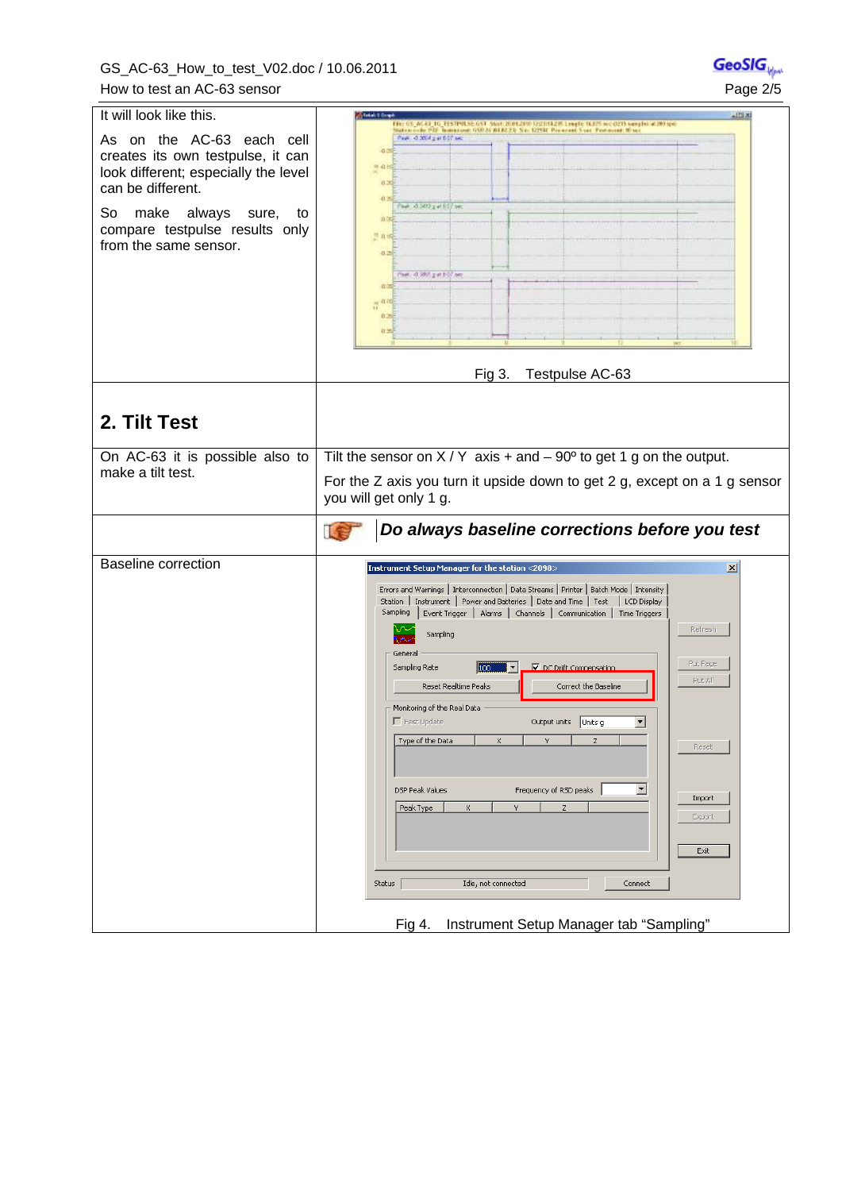GS\_AC-63\_How\_to\_test\_V02.doc / 10.06.2011 How to test an AC-63 sensor

| enSi     |
|----------|
| Page 2/5 |

| It will look like this.                                                                                                     | <b>State Library</b><br>128.81<br>Film 68, AC-63, TG, EESTPILSE GST. Start 2001.2000 Tzattritatill League TAJTS sociatels samples at 200 spe<br>Station code: PAE: Teamoravel: 650 24 AH 82.25; S.m. 122581. Posisional: S.vic. Protocont: 10 vic                                                                                                                                                                                                                                                                                                                                                                                                                                                                                                                                                     |
|-----------------------------------------------------------------------------------------------------------------------------|-------------------------------------------------------------------------------------------------------------------------------------------------------------------------------------------------------------------------------------------------------------------------------------------------------------------------------------------------------------------------------------------------------------------------------------------------------------------------------------------------------------------------------------------------------------------------------------------------------------------------------------------------------------------------------------------------------------------------------------------------------------------------------------------------------|
| As on the AC-63 each cell<br>creates its own testpulse, it can<br>look different; especially the level<br>can be different. | Peer, 4.300 pat 617 sec.<br>-0.09<br>华道台<br>0.25<br>0.2                                                                                                                                                                                                                                                                                                                                                                                                                                                                                                                                                                                                                                                                                                                                               |
| So<br>make always sure, to<br>compare testpulse results only<br>from the same sensor.                                       | That 4,500 g at 617 tel:<br>0.00<br>兰山崎<br>$-0.256$<br>that: 4.995 gat EST and<br>$\frac{1}{11}$ at<br>0.25<br>打骂                                                                                                                                                                                                                                                                                                                                                                                                                                                                                                                                                                                                                                                                                     |
|                                                                                                                             | Fig 3.<br>Testpulse AC-63                                                                                                                                                                                                                                                                                                                                                                                                                                                                                                                                                                                                                                                                                                                                                                             |
|                                                                                                                             |                                                                                                                                                                                                                                                                                                                                                                                                                                                                                                                                                                                                                                                                                                                                                                                                       |
| 2. Tilt Test                                                                                                                |                                                                                                                                                                                                                                                                                                                                                                                                                                                                                                                                                                                                                                                                                                                                                                                                       |
| On AC-63 it is possible also to<br>make a tilt test.                                                                        | Tilt the sensor on $X/Y$ axis + and - 90 $^{\circ}$ to get 1 g on the output.<br>For the Z axis you turn it upside down to get 2 g, except on a 1 g sensor<br>you will get only 1 g.                                                                                                                                                                                                                                                                                                                                                                                                                                                                                                                                                                                                                  |
|                                                                                                                             |                                                                                                                                                                                                                                                                                                                                                                                                                                                                                                                                                                                                                                                                                                                                                                                                       |
|                                                                                                                             | Do always baseline corrections before you test<br>IF                                                                                                                                                                                                                                                                                                                                                                                                                                                                                                                                                                                                                                                                                                                                                  |
| <b>Baseline correction</b>                                                                                                  |                                                                                                                                                                                                                                                                                                                                                                                                                                                                                                                                                                                                                                                                                                                                                                                                       |
|                                                                                                                             | Instrument Setup Manager for the station <2098><br>$\vert x \vert$<br>Errors and Warnings   Interconnection   Data Streams   Printer   Batch Mode   Intensity<br>Station   Instrument   Power and Batteries   Date and Time   Test<br>  LCD Display<br>Sampling<br>Event Trigger   Alarms   Channels   Communication   Time Triggers<br>Refresh<br>Sampling<br>General<br>Put Page<br>100<br>Sampling Rate<br>DC Drift Compensation<br>Put All<br>Reset Realtime Peaks<br>Correct the Baseline<br>Monitoring of the Real Data<br>$\Gamma$ Fast Update<br>Output units   Units g<br>▾<br>Type of the Data<br>x<br>z<br>Reset<br>$\blacksquare$<br>Frequency of RSD peaks<br><b>DSP Peak Values</b><br>Import<br>x<br>Peak Type<br>Y<br>z<br>Export<br>Exit<br>Status<br>Idle, not connected<br>Connect |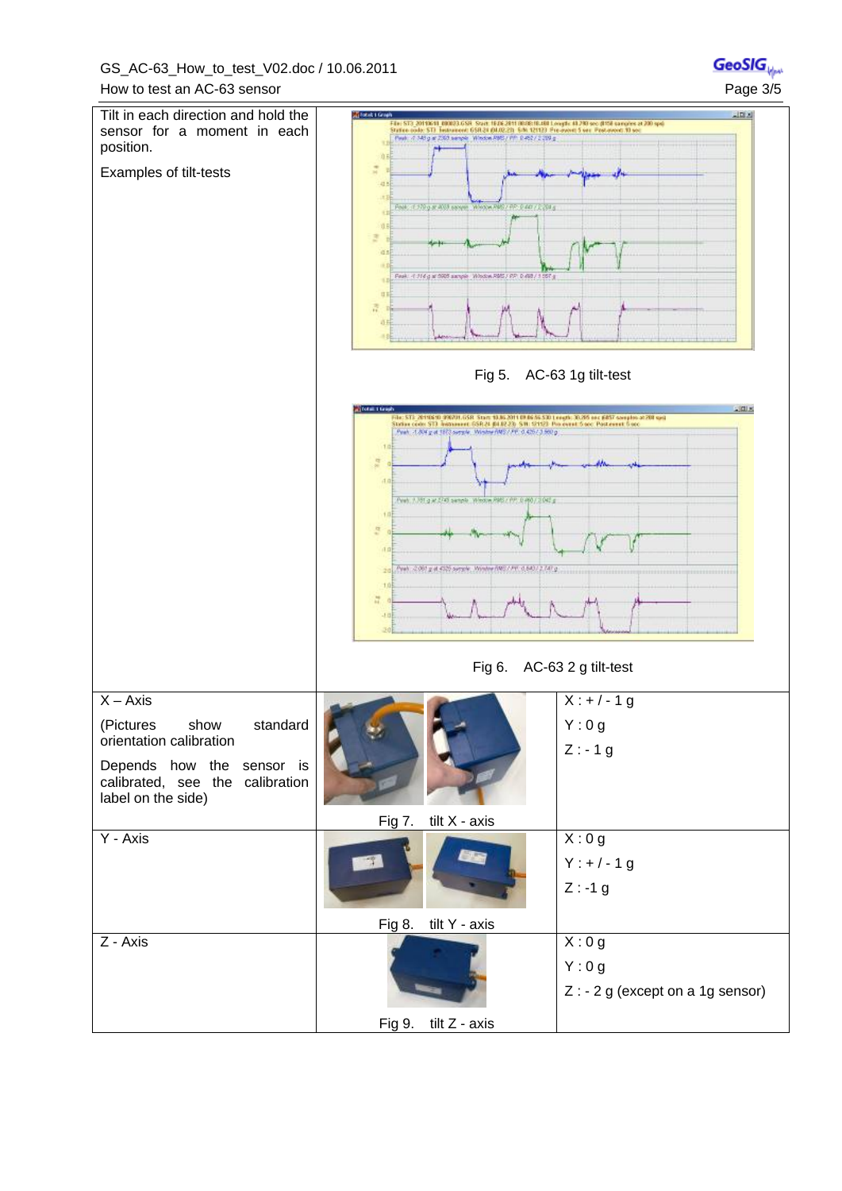

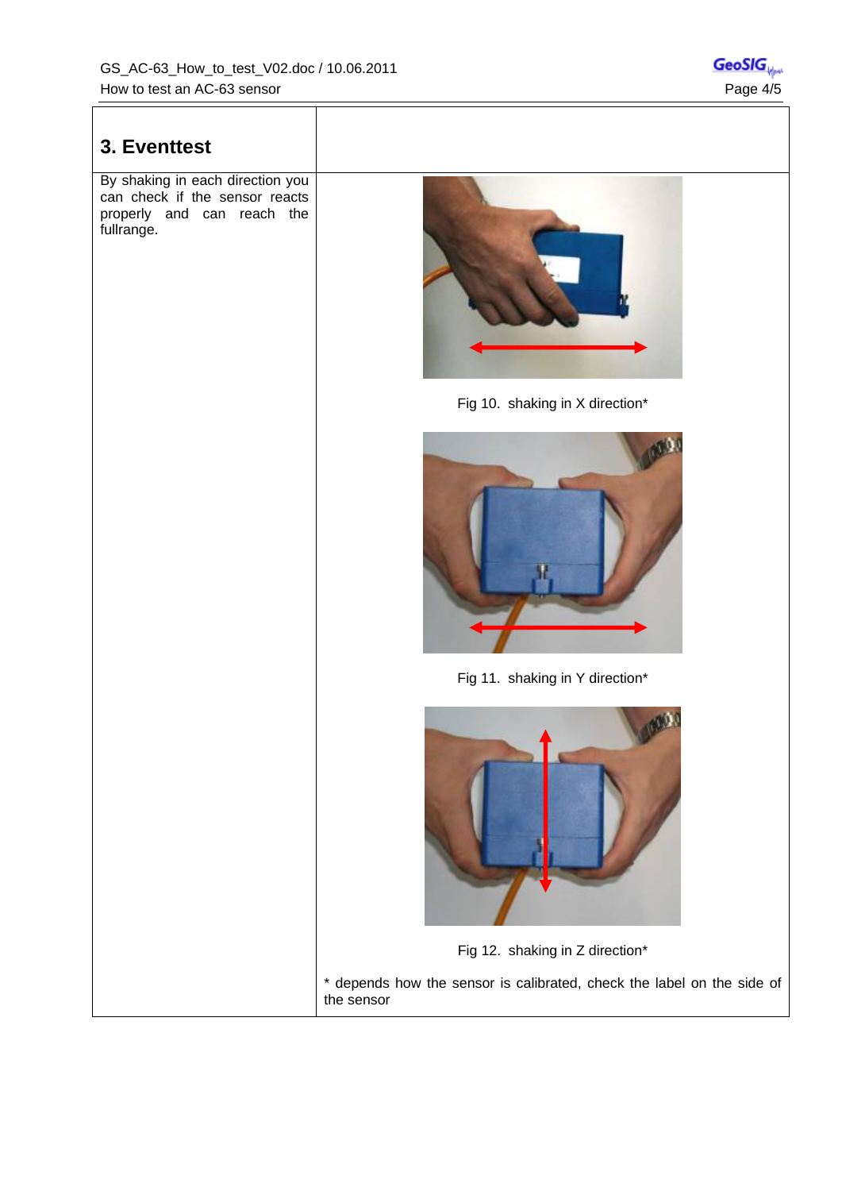## **3. Eventtest**  By shaking in each direction you can check if the sensor reacts properly and can reach the fullrange. Fig 10. shaking in X direction\* Fig 11. shaking in Y direction\* Fig 12. shaking in Z direction\* \* depends how the sensor is calibrated, check the label on the side of the sensor